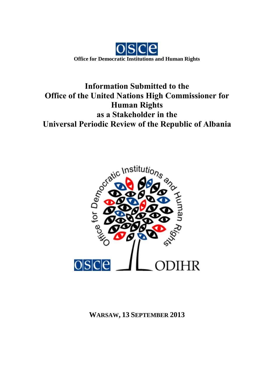

# **Information Submitted to the Office of the United Nations High Commissioner for Human Rights as a Stakeholder in the Universal Periodic Review of the Republic of Albania**



**WARSAW, 13 SEPTEMBER 2013**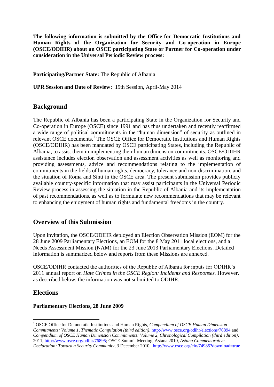**The following information is submitted by the Office for Democratic Institutions and Human Rights of the Organization for Security and Co-operation in Europe (OSCE/ODIHR) about an OSCE participating State or Partner for Co-operation under consideration in the Universal Periodic Review process:**

**Participating/Partner State:** The Republic of Albania

**UPR Session and Date of Review:** 19th Session, April-May 2014

## **Background**

The Republic of Albania has been a participating State in the Organization for Security and Co-operation in Europe (OSCE) since 1991 and has thus undertaken and recently reaffirmed a wide range of political commitments in the "human dimension" of security as outlined in relevant OSCE documents.<sup>1</sup> The OSCE Office for Democratic Institutions and Human Rights (OSCE/ODIHR) has been mandated by OSCE participating States, including the Republic of Albania, to assist them in implementing their human dimension commitments. OSCE/ODIHR assistance includes election observation and assessment activities as well as monitoring and providing assessments, advice and recommendations relating to the implementation of commitments in the fields of human rights, democracy, tolerance and non-discrimination, and the situation of Roma and Sinti in the OSCE area. The present submission provides publicly available country-specific information that may assist participants in the Universal Periodic Review process in assessing the situation in the Republic of Albania and its implementation of past recommendations, as well as to formulate new recommendations that may be relevant to enhancing the enjoyment of human rights and fundamental freedoms in the country.

## **Overview of this Submission**

Upon invitation, the OSCE/ODIHR deployed an Election Observation Mission (EOM) for the 28 June 2009 Parliamentary Elections, an EOM for the 8 May 2011 local elections, and a Needs Assessment Mission (NAM) for the 23 June 2013 Parliamentary Elections. Detailed information is summarized below and reports from these Missions are annexed.

OSCE/ODIHR contacted the authorities of the Republic of Albania for inputs for ODIHR's 2011 annual report on *Hate Crimes in the OSCE Region: Incidents and Responses.* However, as described below, the information was not submitted to ODIHR.

# **Elections**

1

#### **Parliamentary Elections, 28 June 2009**

<sup>1</sup> OSCE Office for Democratic Institutions and Human Rights, *Compendium of OSCE Human Dimension Commitments: Volume 1, Thematic Compilation (third edition)*[, http://www.osce.org/odihr/elections/76894](http://www.osce.org/odihr/elections/76894) and *Compendium of OSCE Human Dimension Commitments: Volume 2, Chronological Compilation (third edition)*, 2011, [http://www.osce.org/odihr/76895;](http://www.osce.org/odihr/76895) OSCE Summit Meeting, Astana 2010, *Astana Commemorative Declaration: Toward a Security Community*, 3 December 2010, <http://www.osce.org/cio/74985?download=true>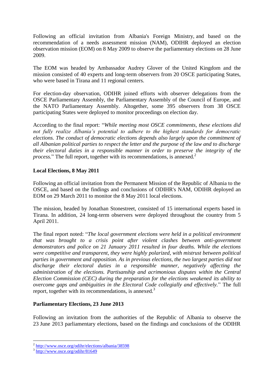Following an official invitation from Albania's Foreign Ministry, and based on the recommendation of a needs assessment mission (NAM), ODIHR deployed an election observation mission (EOM) on 8 May 2009 to observe the parliamentary elections on 28 June 2009.

The EOM was headed by Ambassador Audrey Glover of the United Kingdom and the mission consisted of 40 experts and long-term observers from 20 OSCE participating States, who were based in Tirana and 11 regional centers.

For election-day observation, ODIHR joined efforts with observer delegations from the OSCE Parliamentary Assembly, the Parliamentary Assembly of the Council of Europe, and the NATO Parliamentary Assembly. Altogether, some 395 observers from 38 OSCE participating States were deployed to monitor proceedings on election day.

According to the final report: "*While meeting most OSCE commitments, these elections did not fully realize Albania's potential to adhere to the highest standards for democratic elections. The conduct of democratic elections depends also largely upon the commitment of all Albanian political parties to respect the letter and the purpose of the law and to discharge their electoral duties in a responsible manner in order to preserve the integrity of the process.*" The full report, together with its recommendations, is annexed*.* 2

#### **Local Elections, 8 May 2011**

Following an official invitation from the Permanent Mission of the Republic of Albania to the OSCE, and based on the findings and conclusions of ODIHR's NAM, ODIHR deployed an EOM on 29 March 2011 to monitor the 8 May 2011 local elections.

The mission, headed by Jonathan Stonestreet, consisted of 15 international experts based in Tirana. In addition, 24 long-term observers were deployed throughout the country from 5 April 2011.

The final report noted: "*The local government elections were held in a political environment that was brought to a crisis point after violent clashes between anti-government demonstrators and police on 21 January 2011 resulted in four deaths. While the elections were competitive and transparent, they were highly polarized, with mistrust between political parties in government and opposition. As in previous elections, the two largest parties did not discharge their electoral duties in a responsible manner, negatively affecting the administration of the elections. Partisanship and acrimonious disputes within the Central Election Commission (CEC) during the preparation for the elections weakened its ability to overcome gaps and ambiguities in the Electoral Code collegially and effectively.*" The full report, together with its recommendations, is annexed*.* 3

#### **Parliamentary Elections, 23 June 2013**

Following an invitation from the authorities of the Republic of Albania to observe the 23 June 2013 parliamentary elections, based on the findings and conclusions of the ODIHR

 2 <http://www.osce.org/odihr/elections/albania/38598>

<sup>3</sup> <http://www.osce.org/odihr/81649>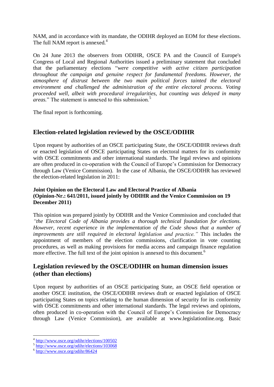NAM, and in accordance with its mandate, the ODIHR deployed an EOM for these elections. The full NAM report is annexed*.* 4

On 24 June 2013 the observers from ODIHR, OSCE PA and the Council of Europe's Congress of Local and Regional Authorities issued a preliminary statement that concluded that the parliamentary elections "*were competitive with active citizen participation throughout the campaign and genuine respect for fundamental freedoms. However, the atmosphere of distrust between the two main political forces tainted the electoral environment and challenged the administration of the entire electoral process. Voting proceeded well, albeit with procedural irregularities, but counting was delayed in many areas.*" The statement is annexed to this submission.<sup>5</sup>

The final report is forthcoming.

# **Election-related legislation reviewed by the OSCE/ODIHR**

Upon request by authorities of an OSCE participating State, the OSCE/ODIHR reviews draft or enacted legislation of OSCE participating States on electoral matters for its conformity with OSCE commitments and other international standards. The legal reviews and opinions are often produced in co-operation with the Council of Europe's Commission for Democracy through Law (Venice Commission). In the case of Albania, the OSCE/ODIHR has reviewed the election-related legislation in 2011:

#### **Joint Opinion on the Electoral Law and Electoral Practice of Albania (Opinion-Nr.: 641/2011, issued jointly by ODIHR and the Venice Commission on 19 December 2011)**

This opinion was prepared jointly by ODIHR and the Venice Commission and concluded that *"the Electoral Code of Albania provides a thorough technical foundation for elections. However, recent experience in the implementation of the Code shows that a number of improvements are still required in electoral legislation and practice."* This includes the appointment of members of the election commissions, clarification in vote counting procedures, as well as making provisions for media access and campaign finance regulation more effective. The full text of the joint opinion is annexed to this document.<sup>6</sup>

# **Legislation reviewed by the OSCE/ODIHR on human dimension issues (other than elections)**

Upon request by authorities of an OSCE participating State, an OSCE field operation or another OSCE institution, the OSCE/ODIHR reviews draft or enacted legislation of OSCE participating States on topics relating to the human dimension of security for its conformity with OSCE commitments and other international standards. The legal reviews and opinions, often produced in co-operation with the Council of Europe's Commission for Democracy through Law (Venice Commission), are available at www.legislationline.org. Basic

1

<sup>&</sup>lt;sup>4</sup> <http://www.osce.org/odihr/elections/100502>

<sup>&</sup>lt;sup>5</sup> <http://www.osce.org/odihr/elections/103068>

<sup>6</sup> <http://www.osce.org/odihr/86424>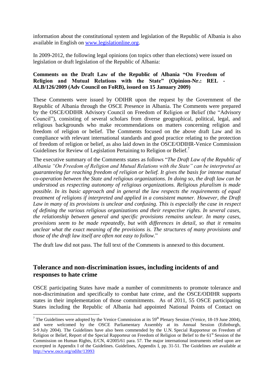information about the constitutional system and legislation of the Republic of Albania is also available in English on [www.legislationline.org.](http://www.legislationline.org/)

In 2009-2012, the following legal opinions (on topics other than elections) were issued on legislation or draft legislation of the Republic of Albania:

#### **Comments on the Draft Law of the Republic of Albania "On Freedom of Religion and Mutual Relations with the State" (Opinion-Nr.: REL - ALB/126/2009 (Adv Council on FoRB), issued on 15 January 2009)**

These Comments were issued by ODIHR upon the request by the Government of the Republic of Albania through the OSCE Presence in Albania. The Comments were prepared by the OSCE/ODIHR Advisory Council on Freedom of Religion or Belief (the "Advisory Council"), consisting of several scholars from diverse geographical, political, legal, and religious backgrounds who make recommendations on matters concerning religion and freedom of religion or belief. The Comments focused on the above draft Law and its compliance with relevant international standards and good practice relating to the protection of freedom of religion or belief, as also laid down in the OSCE/ODIHR-Venice Commission Guidelines for Review of Legislation Pertaining to Religion or Belief.<sup>7</sup>

The executive summary of the Comments states as follows "*The Draft Law of the Republic of Albania "On Freedom of Religion and Mutual Relations with the State" can be interpreted as guaranteeing far reaching freedom of religion or belief. It gives the basis for intense mutual co-operation between the State and religious organizations. In doing so, the draft law can be understood as respecting autonomy of religious organizations. Religious pluralism is made possible. In its basic approach and in general the law respects the requirements of equal treatment of religions if interpreted and applied in a consistent manner. However, the Draft Law in many of its provisions is unclear and confusing. This is especially the case in respect of defining the various religious organizations and their respective rights. In several cases, the relationship between general and specific provisions remains unclear. In many cases, provisions seem to be made repeatedly, but with differences in detail, so that it remains unclear what the exact meaning of the provisions is. The structures of many provisions and those of the draft law itself are often not easy to follow.*"

The draft law did not pass. The full text of the Comments is annexed to this document.

## **Tolerance and non-discrimination issues, including incidents of and responses to hate crime**

<u>.</u>

OSCE participating States have made a number of commitments to promote tolerance and non-discrimination and specifically to combat hate crime, and the OSCE/ODIHR supports states in their implementation of those commitments. As of 2011, 55 OSCE participating States including the Republic of Albania had appointed National Points of Contact on

<sup>&</sup>lt;sup>7</sup> The Guidelines were adopted by the Venice Commission at its  $59<sup>th</sup>$  Plenary Session (Venice, 18-19 June 2004), and were welcomed by the OSCE Parliamentary Assembly at its Annual Session (Edinburgh, 5-9 July 2004). The Guidelines have also been commended by the U.N. Special Rapporteur on Freedom of Religion or Belief, Report of the Special Rapporteur on Freedom of Religion or Belief to the 61<sup>st</sup> Session of the Commission on Human Rights, E/CN, 4/2005/61 para. 57. The major international instruments relied upon are excerpted in Appendix I of the Guidelines. Guidelines, Appendix I, pp. 31-51. The Guidelines are available at <http://www.osce.org/odihr/13993>